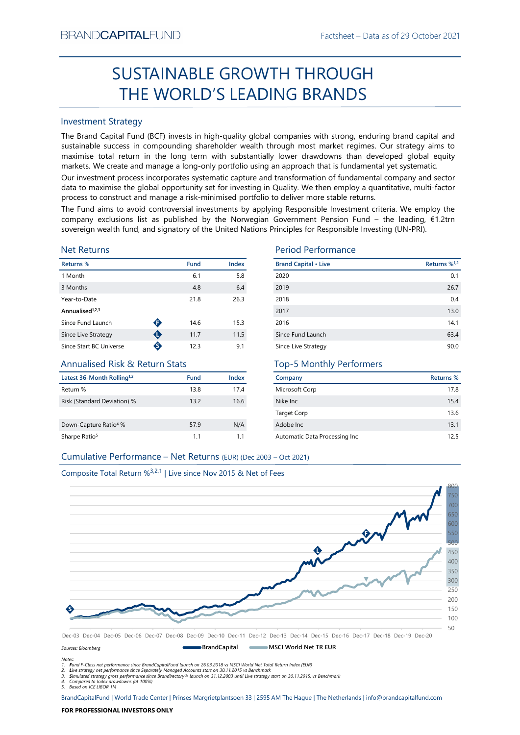# Factsheet – Data as of 29 October 2021<br> **ROUGH** SUSTAINABLE GROWTH THROUGH THE WORLD'S LEADING BRANDS

# Investment Strategy

EXECUTE THE WORLD'S LEADING BRANDS<br>
Fractioneer - Ustai as of 29 Uctober 2021<br>
SUSTAINABLE GROWTH THROUGH<br>
THE WORLD'S LEADING BRANDS<br>
Envestment Strategy<br>
the Brand Capital Europe is the flore prime with substantially loo SUSTAINABLE GROWTH THROUGH<br>
THE WORLD'S LEADING BRANDS<br>
Investment Strategy<br>
IThe Brand Gapital Fund (8CF) invests in high-quality global companies with strong, enduring brand capital and<br>
sustainable success in compoundi BRAND**CAPITAL**FUND<br>
SUSTAINABLE GROWTH THROUGH<br>
THE WORLD'S LEADING BRANDS<br>
Investment Strategy<br>
The Brand Capital Fund (BCF) invests in high-quality global companies with strong, enduring brand capital and<br>
sustainable su BRAND**CAPITAL**FUND<br>
Factsheet – Data as of 29 October 2021<br> **SUSTAINABLE GROWTH THROUGH**<br> **THE WORLD'S LEADING BRANDS**<br>
Investment Strategy<br>
The Brand Capital Fund (BCF) invests in high-quality global companies with strong BRAND**CAPITAL**FUND<br>
SUSTAINABLE GROWTH THROUGH<br>
THE WORLD'S LEADING BRANDS<br>
Investment Strategy<br>
Inte Brand Capital Fund (BCF) invests in high-quality global companies with strong, enduring brand capital and<br>
sustainable s BRAND**CAPITAL**FUND<br>
SUSTAINABLE GROWTH THROUGH<br>
THE WORLD'S LEADING BRANDS<br>
Investment Strategy<br>
Investment Strategy<br>
Investment Strategy<br>
Investment Strategy<br>
Investment Strategy<br>
The Brand Capital Fund (BCF) invests in h BRAND**CAPITAL**FUND<br>
SUSTAINABLE GROWTH THROUGH<br>
THE WORLD'S LEADING BRANDS<br>
Investment Strategy<br>
Investment Strategy<br>
Investment Strategy<br>
Investment Strategy<br>
Investment Strategy<br>
Investment Strategy<br>
and Captal and (BCF) BRAND**CAPITAL**FUND<br>
SUSTAINABLE GROWTH THROUGH<br>
THE WORLD'S LEADING BRANDS<br>
Investment Strategy<br>
Interesting of the grand Capital Fund (BCF) invests in high-quality global companies with strong, enduring brand capital and<br> BRANDCAPITALFUND<br>
SUSTAINABLE GROWTH THROUGH<br>
THE WORLD'S LEADING BRANDS<br>
Investment Strategy<br>
The Brand Capital Fund (BCF) invests in high-quality global companies with strong, enduring brand capital and<br>
sustainable succ BRANDCAPITALFUND<br>
SUSTAINABLE GROWTH THROUGH<br>
THE WORLD'S LEADING BRANDS<br>
Investment Strategy<br>
Investment Strategy<br>
Investment Strategy<br>
Investment Strategy<br>
Sustainable success in compounding shareholder wealth through mo EXANDCAPITALFUND<br>
SUSTAINABLE GROWTH THROUGH<br>
THE WORLD'S LEADING BRANDS<br>
Investment Strategy<br>
The Brand Capital Fund (BCF) invests in high-quality global companies with strong, enduring brand capital and<br>
sustsissible su BRANDCAPITALFUND<br>
SUSTAINABLE GROWTH THROUGH<br>
THE WORLD'S LEADING BRANDS<br>
Investment Strategy<br>
Investment Strategy<br>
Investment Strategy<br>
Investment Strategy<br>
Sustainable success in compounding shareholder wealth fundap mo

# Net Returns

| Returns %                   |   | <b>Fund</b> | <b>Index</b> | <b>Brand Cap</b> |
|-----------------------------|---|-------------|--------------|------------------|
| 1 Month                     |   | 6.1         | 5.8          | 2020             |
| 3 Months                    |   | 4.8         | 6.4          | 2019             |
| Year-to-Date                |   | 21.8        | 26.3         | 2018             |
| Annualised <sup>1,2,3</sup> |   |             |              | 2017             |
| Since Fund Launch           | G | 14.6        | 15.3         | 2016             |
| Since Live Strategy         | O | 11.7        | 11.5         | Since Fund       |
| Since Start BC Universe     | ❸ | 12.3        | 9.1          | Since Live       |

# Annualised Risk & Return Stats

| Latest 36-Month Rolling <sup>1,2</sup> | <b>Fund</b> | Index |
|----------------------------------------|-------------|-------|
| Return %                               | 13.8        | 17.4  |
| Risk (Standard Deviation) %            | 13.2        | 16.6  |
| Down-Capture Ratio <sup>4</sup> %      | 57.9        | N/A   |
| Sharpe Ratio <sup>5</sup>              | 1.1         | 11    |

# Period Performance

| BRANU <b>UAPHAL</b> FUND                                                      |           |             |       | Factsheet – Data as of 29 October 2021                                                                                                                                                                                                                                                                                                                                                                                                          |                          |
|-------------------------------------------------------------------------------|-----------|-------------|-------|-------------------------------------------------------------------------------------------------------------------------------------------------------------------------------------------------------------------------------------------------------------------------------------------------------------------------------------------------------------------------------------------------------------------------------------------------|--------------------------|
|                                                                               |           |             |       | SUSTAINABLE GROWTH THROUGH                                                                                                                                                                                                                                                                                                                                                                                                                      |                          |
|                                                                               |           |             |       | THE WORLD'S LEADING BRANDS                                                                                                                                                                                                                                                                                                                                                                                                                      |                          |
| <b>Investment Strategy</b>                                                    |           |             |       |                                                                                                                                                                                                                                                                                                                                                                                                                                                 |                          |
|                                                                               |           |             |       | The Brand Capital Fund (BCF) invests in high-quality global companies with strong, enduring brand capital and<br>sustainable success in compounding shareholder wealth through most market regimes. Our strategy aims to<br>maximise total return in the long term with substantially lower drawdowns than developed global equity<br>markets. We create and manage a long-only portfolio using an approach that is fundamental yet systematic. |                          |
|                                                                               |           |             |       | Our investment process incorporates systematic capture and transformation of fundamental company and sector<br>data to maximise the global opportunity set for investing in Quality. We then employ a quantitative, multi-factor<br>process to construct and manage a risk-minimised portfolio to deliver more stable returns.                                                                                                                  |                          |
|                                                                               |           |             |       | The Fund aims to avoid controversial investments by applying Responsible Investment criteria. We employ the<br>company exclusions list as published by the Norwegian Government Pension Fund – the leading, $E1.2$ trn<br>sovereign wealth fund, and signatory of the United Nations Principles for Responsible Investing (UN-PRI).                                                                                                             |                          |
| <b>Net Returns</b>                                                            |           |             |       | <b>Period Performance</b>                                                                                                                                                                                                                                                                                                                                                                                                                       |                          |
| Returns %                                                                     |           | <b>Fund</b> | Index | <b>Brand Capital • Live</b>                                                                                                                                                                                                                                                                                                                                                                                                                     | Returns % <sup>1,2</sup> |
| 1 Month                                                                       |           | 6.1         | 5.8   | 2020                                                                                                                                                                                                                                                                                                                                                                                                                                            | 0.1                      |
| 3 Months                                                                      |           | 4.8         | 6.4   | 2019                                                                                                                                                                                                                                                                                                                                                                                                                                            | 26.7                     |
| Year-to-Date                                                                  |           | 21.8        | 26.3  | 2018                                                                                                                                                                                                                                                                                                                                                                                                                                            | 0.4                      |
| Annualised <sup>1,2,3</sup>                                                   |           |             |       | 2017                                                                                                                                                                                                                                                                                                                                                                                                                                            | 13.0                     |
| Since Fund Launch                                                             | $\bullet$ | 14.6        | 15.3  | 2016                                                                                                                                                                                                                                                                                                                                                                                                                                            | 14.1                     |
| Since Live Strategy                                                           | $\bullet$ | 11.7        | 11.5  | Since Fund Launch                                                                                                                                                                                                                                                                                                                                                                                                                               | 63.4                     |
| Since Start BC Universe                                                       | ♦         | 12.3        | 9.1   | Since Live Strategy                                                                                                                                                                                                                                                                                                                                                                                                                             | 90.0                     |
| <b>Annualised Risk &amp; Return Stats</b>                                     |           |             |       | <b>Top-5 Monthly Performers</b>                                                                                                                                                                                                                                                                                                                                                                                                                 |                          |
| Latest 36-Month Rolling <sup>1,2</sup>                                        |           | Fund        | Index | Company                                                                                                                                                                                                                                                                                                                                                                                                                                         | Returns %                |
| Return %                                                                      |           | 13.8        | 17.4  | Microsoft Corp                                                                                                                                                                                                                                                                                                                                                                                                                                  | 17.8                     |
| Risk (Standard Deviation) %                                                   |           | 13.2        | 16.6  | Nike Inc                                                                                                                                                                                                                                                                                                                                                                                                                                        | 15.4                     |
|                                                                               |           |             |       | <b>Target Corp</b>                                                                                                                                                                                                                                                                                                                                                                                                                              | 13.6                     |
| Down-Capture Ratio <sup>4</sup> %                                             |           | 57.9        | N/A   | Adobe Inc                                                                                                                                                                                                                                                                                                                                                                                                                                       | 13.1                     |
| Sharpe Ratio <sup>5</sup>                                                     |           | 1.1         | 1.1   | Automatic Data Processing Inc                                                                                                                                                                                                                                                                                                                                                                                                                   | 12.5                     |
| Cumulative Performance - Net Returns (EUR) (Dec 2003 - Oct 2021)              |           |             |       |                                                                                                                                                                                                                                                                                                                                                                                                                                                 |                          |
|                                                                               |           |             |       |                                                                                                                                                                                                                                                                                                                                                                                                                                                 |                          |
| Composite Total Return % <sup>3,2,1</sup>   Live since Nov 2015 & Net of Fees |           |             |       |                                                                                                                                                                                                                                                                                                                                                                                                                                                 |                          |
|                                                                               |           |             |       |                                                                                                                                                                                                                                                                                                                                                                                                                                                 |                          |
|                                                                               |           |             |       |                                                                                                                                                                                                                                                                                                                                                                                                                                                 |                          |

# Top-5 Monthly Performers

| Company                       | <b>Returns %</b> |
|-------------------------------|------------------|
| Microsoft Corp                | 17.8             |
| Nike Inc.                     | 15.4             |
| <b>Target Corp</b>            | 13.6             |
| Adobe Inc.                    | 13.1             |
| Automatic Data Processing Inc | 125              |

# Composite Total Return %3,2,1 | Live since Nov 2015 & Net of Fees



Sources: Bloomberg

Notes:<br>1. Fund F-Class net performance since BrandCapitalFund launch on 26.03.2018 vs MSCI World Net Total Return Index (EUR)<br>2. Live strategy net performance since Separately Managed Accounts start on 30.11.2015 vs Benchm

5. Based on ICE LIBOR 1M